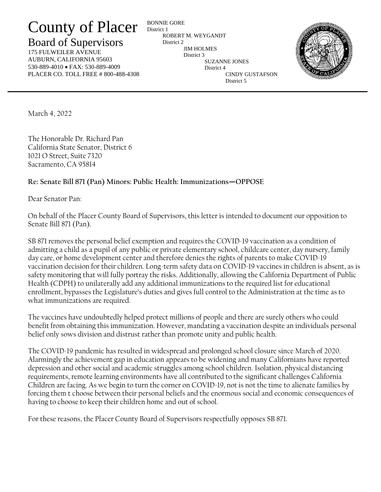## County of Placer

## Board of Supervisors

175 FULWEILER AVENUE AUBURN, CALIFORNIA 95603 530-889-4010 • FAX: 530-889-4009 PLACER CO. TOLL FREE # 800-488-4308

BONNIE GORE District 1 ROBERT M. WEYGANDT District 2 JIM HOLMES District 3 SUZANNE JONES District 4 CINDY GUSTAFSON District 5



March 4, 2022

The Honorable Dr. Richard Pan California State Senator, District 6 1021 O Street, Suite 7320 Sacramento, CA 95814

## **Re: Senate Bill 871 (Pan) Minors: Public Health: Immunizations—OPPOSE**

Dear Senator Pan:

On behalf of the Placer County Board of Supervisors, this letter is intended to document our opposition to Senate Bill 871 (Pan).

SB 871 removes the personal belief exemption and requires the COVID-19 vaccination as a condition of admitting a child as a pupil of any public or private elementary school, childcare center, day nursery, family day care, or home development center and therefore denies the rights of parents to make COVID-19 vaccination decision for their children. Long-term safety data on COVID-19 vaccines in children is absent, as is safety monitoring that will fully portray the risks. Additionally, allowing the California Department of Public Health (CDPH) to unilaterally add any additional immunizations to the required list for educational enrollment, bypasses the Legislature's duties and gives full control to the Administration at the time as to what immunizations are required.

The vaccines have undoubtedly helped protect millions of people and there are surely others who could benefit from obtaining this immunization. However, mandating a vaccination despite an individuals personal belief only sows division and distrust rather than promote unity and public health.

The COVID-19 pandemic has resulted in widespread and prolonged school closure since March of 2020. Alarmingly the achievement gap in education appears to be widening and many Californians have reported depression and other social and academic struggles among school children. Isolation, physical distancing requirements, remote learning environments have all contributed to the significant challenges California Children are facing. As we begin to turn the corner on COVID-19, not is not the time to alienate families by forcing them t choose between their personal beliefs and the enormous social and economic consequences of having to choose to keep their children home and out of school.

For these reasons, the Placer County Board of Supervisors respectfully opposes SB 871.